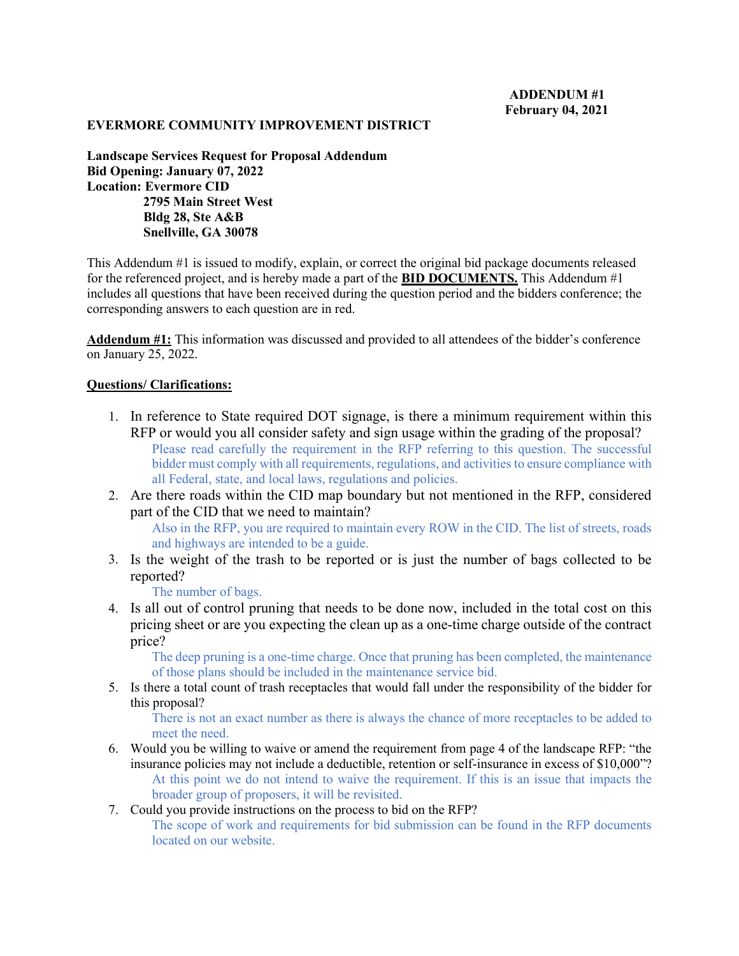## **EVERMORE COMMUNITY IMPROVEMENT DISTRICT**

**Landscape Services Request for Proposal Addendum Bid Opening: January 07, 2022 Location: Evermore CID 2795 Main Street West Bldg 28, Ste A&B Snellville, GA 30078**

This Addendum #1 is issued to modify, explain, or correct the original bid package documents released for the referenced project, and is hereby made a part of the **BID DOCUMENTS.** This Addendum #1 includes all questions that have been received during the question period and the bidders conference; the corresponding answers to each question are in red.

**Addendum #1:** This information was discussed and provided to all attendees of the bidder's conference on January 25, 2022.

## **Questions/ Clarifications:**

- 1. In reference to State required DOT signage, is there a minimum requirement within this RFP or would you all consider safety and sign usage within the grading of the proposal? Please read carefully the requirement in the RFP referring to this question. The successful bidder must comply with all requirements, regulations, and activities to ensure compliance with all Federal, state, and local laws, regulations and policies.
- 2. Are there roads within the CID map boundary but not mentioned in the RFP, considered part of the CID that we need to maintain?

Also in the RFP, you are required to maintain every ROW in the CID. The list of streets, roads and highways are intended to be a guide.

3. Is the weight of the trash to be reported or is just the number of bags collected to be reported?

The number of bags.

4. Is all out of control pruning that needs to be done now, included in the total cost on this pricing sheet or are you expecting the clean up as a one-time charge outside of the contract price?

The deep pruning is a one-time charge. Once that pruning has been completed, the maintenance of those plans should be included in the maintenance service bid.

5. Is there a total count of trash receptacles that would fall under the responsibility of the bidder for this proposal?

There is not an exact number as there is always the chance of more receptacles to be added to meet the need.

- 6. Would you be willing to waive or amend the requirement from page 4 of the landscape RFP: "the insurance policies may not include a deductible, retention or self-insurance in excess of \$10,000"? At this point we do not intend to waive the requirement. If this is an issue that impacts the broader group of proposers, it will be revisited.
- 7. Could you provide instructions on the process to bid on the RFP?

The scope of work and requirements for bid submission can be found in the RFP documents located on our website.